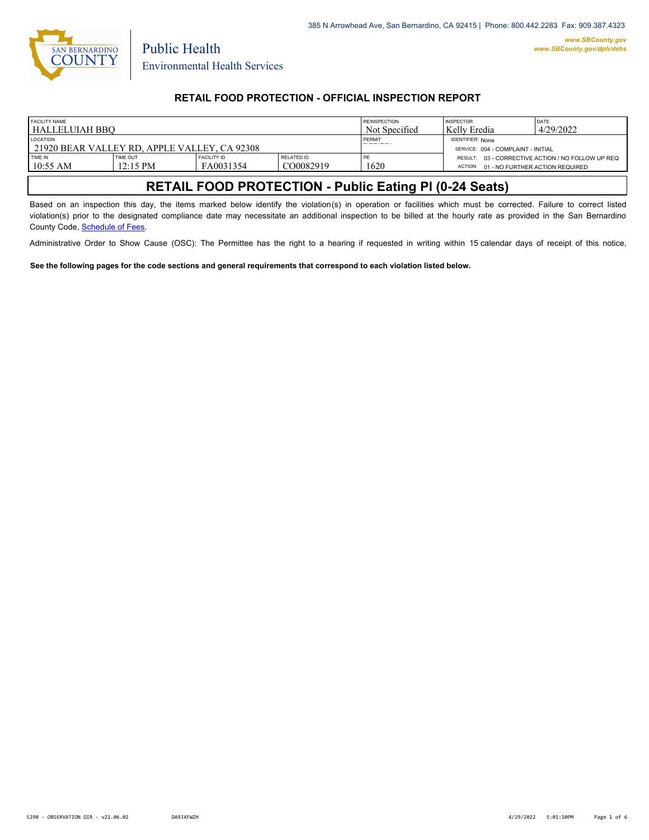

Public Health

## **RETAIL FOOD PROTECTION - OFFICIAL INSPECTION REPORT**

| <b>FACILITY NAME</b><br>HALLELUIAH BBO                          |                                       |                                 |                         | <b>REINSPECTION</b><br>Not Specified                          | <b>INSPECTOR</b><br>  Kelly Eredia      | DATE<br>4/29/2022                                 |
|-----------------------------------------------------------------|---------------------------------------|---------------------------------|-------------------------|---------------------------------------------------------------|-----------------------------------------|---------------------------------------------------|
| <b>LOCATION</b><br>21920 BEAR VALLEY RD, APPLE VALLEY, CA 92308 |                                       |                                 | PERMIT                  | <b>IDENTIFIER: None</b><br>SERVICE: 004 - COMPLAINT - INITIAL |                                         |                                                   |
| TIME IN<br>$10:55$ AM                                           | <b>TIME OUT</b><br>$12:15 \text{ PM}$ | <b>FACILITY ID</b><br>FA0031354 | RELATED ID<br>CO0082919 | PF<br>1620                                                    | ACTION: 01 - NO FURTHER ACTION REQUIRED | RESULT: 03 - CORRECTIVE ACTION / NO FOLLOW UP REQ |

# **RETAIL FOOD PROTECTION - Public Eating Pl (0-24 Seats)**

Based on an inspection this day, the items marked below identify the violation(s) in operation or facilities which must be corrected. Failure to correct listed violation(s) prior to the designated compliance date may necessitate an additional inspection to be billed at the hourly rate as provided in the San Bernardino County Code, Schedule of Fees.

Administrative Order to Show Cause (OSC): The Permittee has the right to a hearing if requested in writing within 15 calendar days of receipt of this notice,

**See the following pages for the code sections and general requirements that correspond to each violation listed below.**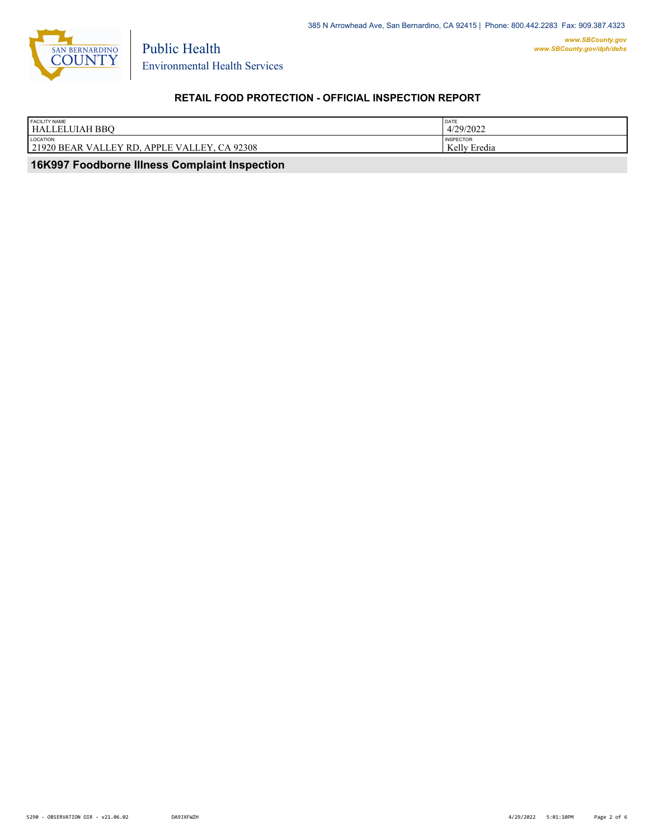

Environmental Health Services

Public Health

# **RETAIL FOOD PROTECTION - OFFICIAL INSPECTION REPORT**

| <b>FACILITY NAME</b><br><b>HALLELUIAH BBO</b>                                        | DATE<br>4/29/2022            |
|--------------------------------------------------------------------------------------|------------------------------|
| LOCATION                                                                             | <b>INSPECTOR</b>             |
| .92308<br><b>APPLE VALLEY</b><br>21920 BEAR<br><b>RL</b><br>VAL<br><b>CA</b><br>- EV | $\mathbf{r}$<br>Kelly Eredia |
|                                                                                      |                              |

 **16K997 Foodborne Illness Complaint Inspection**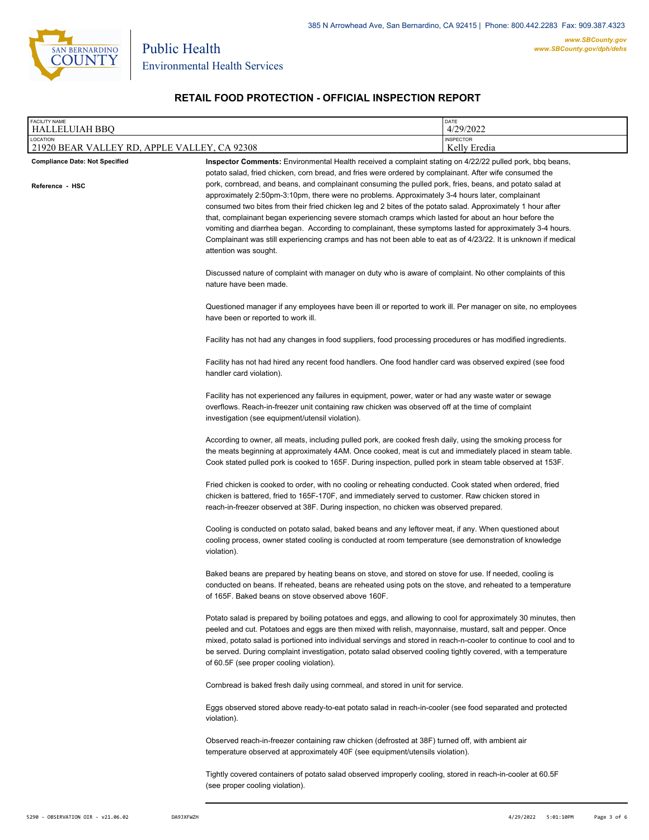

Environmental Health Services

Public Health

# **RETAIL FOOD PROTECTION - OFFICIAL INSPECTION REPORT**

| FACILITY NAME<br><b>HALLELUIAH BBQ</b>                   |                                                                                                                                                                                                                                                                                                                                                                                                                                                                                                                                                                                                                                                                                                                                                                                                                                                                                                                                                                                                                                                                                                                                                                                                                                                                                                                                               | DATE<br>4/29/2022                |  |
|----------------------------------------------------------|-----------------------------------------------------------------------------------------------------------------------------------------------------------------------------------------------------------------------------------------------------------------------------------------------------------------------------------------------------------------------------------------------------------------------------------------------------------------------------------------------------------------------------------------------------------------------------------------------------------------------------------------------------------------------------------------------------------------------------------------------------------------------------------------------------------------------------------------------------------------------------------------------------------------------------------------------------------------------------------------------------------------------------------------------------------------------------------------------------------------------------------------------------------------------------------------------------------------------------------------------------------------------------------------------------------------------------------------------|----------------------------------|--|
| LOCATION<br>21920 BEAR VALLEY RD, APPLE VALLEY, CA 92308 |                                                                                                                                                                                                                                                                                                                                                                                                                                                                                                                                                                                                                                                                                                                                                                                                                                                                                                                                                                                                                                                                                                                                                                                                                                                                                                                                               | <b>INSPECTOR</b><br>Kelly Eredia |  |
| <b>Compliance Date: Not Specified</b>                    | Inspector Comments: Environmental Health received a complaint stating on 4/22/22 pulled pork, bbq beans,<br>potato salad, fried chicken, corn bread, and fries were ordered by complainant. After wife consumed the                                                                                                                                                                                                                                                                                                                                                                                                                                                                                                                                                                                                                                                                                                                                                                                                                                                                                                                                                                                                                                                                                                                           |                                  |  |
| Reference - HSC                                          | pork, cornbread, and beans, and complainant consuming the pulled pork, fries, beans, and potato salad at<br>approximately 2:50pm-3:10pm, there were no problems. Approximately 3-4 hours later, complainant<br>consumed two bites from their fried chicken leg and 2 bites of the potato salad. Approximately 1 hour after<br>that, complainant began experiencing severe stomach cramps which lasted for about an hour before the<br>vomiting and diarrhea began. According to complainant, these symptoms lasted for approximately 3-4 hours.<br>Complainant was still experiencing cramps and has not been able to eat as of 4/23/22. It is unknown if medical<br>attention was sought.                                                                                                                                                                                                                                                                                                                                                                                                                                                                                                                                                                                                                                                    |                                  |  |
|                                                          | Discussed nature of complaint with manager on duty who is aware of complaint. No other complaints of this<br>nature have been made.                                                                                                                                                                                                                                                                                                                                                                                                                                                                                                                                                                                                                                                                                                                                                                                                                                                                                                                                                                                                                                                                                                                                                                                                           |                                  |  |
|                                                          | Questioned manager if any employees have been ill or reported to work ill. Per manager on site, no employees<br>have been or reported to work ill.                                                                                                                                                                                                                                                                                                                                                                                                                                                                                                                                                                                                                                                                                                                                                                                                                                                                                                                                                                                                                                                                                                                                                                                            |                                  |  |
|                                                          | Facility has not had any changes in food suppliers, food processing procedures or has modified ingredients.<br>Facility has not had hired any recent food handlers. One food handler card was observed expired (see food<br>handler card violation).                                                                                                                                                                                                                                                                                                                                                                                                                                                                                                                                                                                                                                                                                                                                                                                                                                                                                                                                                                                                                                                                                          |                                  |  |
|                                                          |                                                                                                                                                                                                                                                                                                                                                                                                                                                                                                                                                                                                                                                                                                                                                                                                                                                                                                                                                                                                                                                                                                                                                                                                                                                                                                                                               |                                  |  |
|                                                          | Facility has not experienced any failures in equipment, power, water or had any waste water or sewage<br>overflows. Reach-in-freezer unit containing raw chicken was observed off at the time of complaint<br>investigation (see equipment/utensil violation).                                                                                                                                                                                                                                                                                                                                                                                                                                                                                                                                                                                                                                                                                                                                                                                                                                                                                                                                                                                                                                                                                |                                  |  |
|                                                          | According to owner, all meats, including pulled pork, are cooked fresh daily, using the smoking process for<br>the meats beginning at approximately 4AM. Once cooked, meat is cut and immediately placed in steam table.<br>Cook stated pulled pork is cooked to 165F. During inspection, pulled pork in steam table observed at 153F.                                                                                                                                                                                                                                                                                                                                                                                                                                                                                                                                                                                                                                                                                                                                                                                                                                                                                                                                                                                                        |                                  |  |
|                                                          | Fried chicken is cooked to order, with no cooling or reheating conducted. Cook stated when ordered, fried<br>chicken is battered, fried to 165F-170F, and immediately served to customer. Raw chicken stored in<br>reach-in-freezer observed at 38F. During inspection, no chicken was observed prepared.                                                                                                                                                                                                                                                                                                                                                                                                                                                                                                                                                                                                                                                                                                                                                                                                                                                                                                                                                                                                                                     |                                  |  |
|                                                          | Cooling is conducted on potato salad, baked beans and any leftover meat, if any. When questioned about<br>cooling process, owner stated cooling is conducted at room temperature (see demonstration of knowledge<br>violation).                                                                                                                                                                                                                                                                                                                                                                                                                                                                                                                                                                                                                                                                                                                                                                                                                                                                                                                                                                                                                                                                                                               |                                  |  |
|                                                          | Baked beans are prepared by heating beans on stove, and stored on stove for use. If needed, cooling is<br>conducted on beans. If reheated, beans are reheated using pots on the stove, and reheated to a temperature<br>of 165F. Baked beans on stove observed above 160F.<br>Potato salad is prepared by boiling potatoes and eggs, and allowing to cool for approximately 30 minutes, then<br>peeled and cut. Potatoes and eggs are then mixed with relish, mayonnaise, mustard, salt and pepper. Once<br>mixed, potato salad is portioned into individual servings and stored in reach-n-cooler to continue to cool and to<br>be served. During complaint investigation, potato salad observed cooling tightly covered, with a temperature<br>of 60.5F (see proper cooling violation).<br>Cornbread is baked fresh daily using cornmeal, and stored in unit for service.<br>Eggs observed stored above ready-to-eat potato salad in reach-in-cooler (see food separated and protected<br>violation).<br>Observed reach-in-freezer containing raw chicken (defrosted at 38F) turned off, with ambient air<br>temperature observed at approximately 40F (see equipment/utensils violation).<br>Tightly covered containers of potato salad observed improperly cooling, stored in reach-in-cooler at 60.5F<br>(see proper cooling violation). |                                  |  |
|                                                          |                                                                                                                                                                                                                                                                                                                                                                                                                                                                                                                                                                                                                                                                                                                                                                                                                                                                                                                                                                                                                                                                                                                                                                                                                                                                                                                                               |                                  |  |
|                                                          |                                                                                                                                                                                                                                                                                                                                                                                                                                                                                                                                                                                                                                                                                                                                                                                                                                                                                                                                                                                                                                                                                                                                                                                                                                                                                                                                               |                                  |  |
|                                                          |                                                                                                                                                                                                                                                                                                                                                                                                                                                                                                                                                                                                                                                                                                                                                                                                                                                                                                                                                                                                                                                                                                                                                                                                                                                                                                                                               |                                  |  |
|                                                          |                                                                                                                                                                                                                                                                                                                                                                                                                                                                                                                                                                                                                                                                                                                                                                                                                                                                                                                                                                                                                                                                                                                                                                                                                                                                                                                                               |                                  |  |
|                                                          |                                                                                                                                                                                                                                                                                                                                                                                                                                                                                                                                                                                                                                                                                                                                                                                                                                                                                                                                                                                                                                                                                                                                                                                                                                                                                                                                               |                                  |  |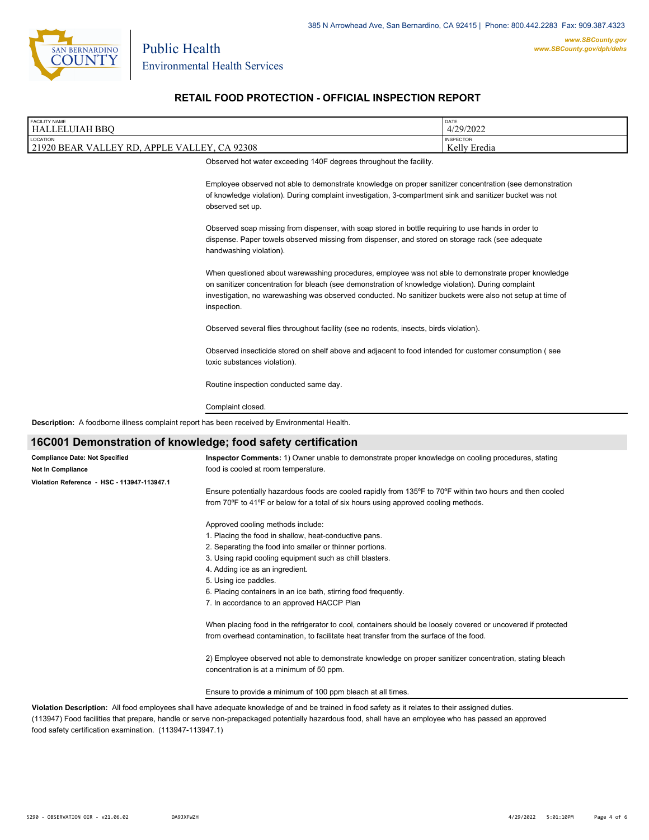

Public Health

## **RETAIL FOOD PROTECTION - OFFICIAL INSPECTION REPORT**

| <b>FACILITY NAME</b>                         |                                                                                                                                                                                                                                          | DATE             |
|----------------------------------------------|------------------------------------------------------------------------------------------------------------------------------------------------------------------------------------------------------------------------------------------|------------------|
| HALLELUIAH BBQ                               |                                                                                                                                                                                                                                          | 4/29/2022        |
| LOCATION                                     |                                                                                                                                                                                                                                          | <b>INSPECTOR</b> |
| 21920 BEAR VALLEY RD, APPLE VALLEY, CA 92308 |                                                                                                                                                                                                                                          | Kelly Eredia     |
|                                              | Observed hot water exceeding 140F degrees throughout the facility.                                                                                                                                                                       |                  |
|                                              | Employee observed not able to demonstrate knowledge on proper sanitizer concentration (see demonstration<br>of knowledge violation). During complaint investigation, 3-compartment sink and sanitizer bucket was not<br>observed set up. |                  |
|                                              | Observed soap missing from dispenser, with soap stored in bottle requiring to use hands in order to                                                                                                                                      |                  |

dispense. Paper towels observed missing from dispenser, and stored on storage rack (see adequate handwashing violation).

When questioned about warewashing procedures, employee was not able to demonstrate proper knowledge on sanitizer concentration for bleach (see demonstration of knowledge violation). During complaint investigation, no warewashing was observed conducted. No sanitizer buckets were also not setup at time of inspection.

Observed several flies throughout facility (see no rodents, insects, birds violation).

Observed insecticide stored on shelf above and adjacent to food intended for customer consumption ( see toxic substances violation).

Routine inspection conducted same day.

#### Complaint closed.

**Description:** A foodborne illness complaint report has been received by Environmental Health.

### **16C001 Demonstration of knowledge; food safety certification**

| <b>Compliance Date: Not Specified</b>       | Inspector Comments: 1) Owner unable to demonstrate proper knowledge on cooling procedures, stating                                                   |
|---------------------------------------------|------------------------------------------------------------------------------------------------------------------------------------------------------|
| Not In Compliance                           | food is cooled at room temperature.                                                                                                                  |
| Violation Reference - HSC - 113947-113947.1 |                                                                                                                                                      |
|                                             | Ensure potentially hazardous foods are cooled rapidly from 135°F to 70°F within two hours and then cooled                                            |
|                                             | from 70°F to 41°F or below for a total of six hours using approved cooling methods.                                                                  |
|                                             | Approved cooling methods include:                                                                                                                    |
|                                             | 1. Placing the food in shallow, heat-conductive pans.                                                                                                |
|                                             | 2. Separating the food into smaller or thinner portions.                                                                                             |
|                                             | 3. Using rapid cooling equipment such as chill blasters.                                                                                             |
|                                             | 4. Adding ice as an ingredient.                                                                                                                      |
|                                             | 5. Using ice paddles.                                                                                                                                |
|                                             | 6. Placing containers in an ice bath, stirring food frequently.                                                                                      |
|                                             | 7. In accordance to an approved HACCP Plan                                                                                                           |
|                                             | When placing food in the refrigerator to cool, containers should be loosely covered or uncovered if protected                                        |
|                                             | from overhead contamination, to facilitate heat transfer from the surface of the food.                                                               |
|                                             | 2) Employee observed not able to demonstrate knowledge on proper sanitizer concentration, stating bleach<br>concentration is at a minimum of 50 ppm. |

#### Ensure to provide a minimum of 100 ppm bleach at all times.

**Violation Description:** All food employees shall have adequate knowledge of and be trained in food safety as it relates to their assigned duties. (113947) Food facilities that prepare, handle or serve non-prepackaged potentially hazardous food, shall have an employee who has passed an approved food safety certification examination. (113947-113947.1)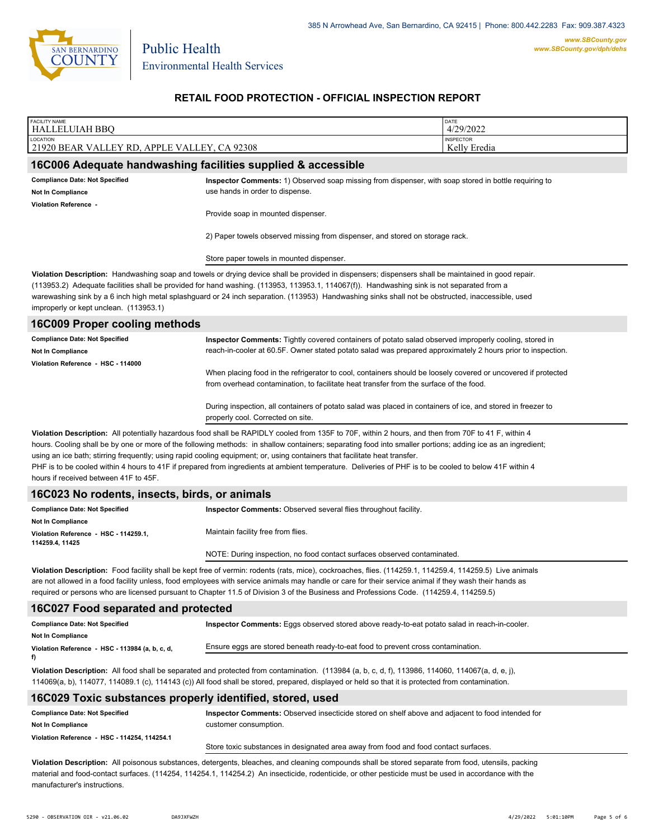

### **RETAIL FOOD PROTECTION - OFFICIAL INSPECTION REPORT**

| FACILITY NAME<br><b>HALLELUIAH BBQ</b>                                                                                                                                                                                                                                                                                                                                                                                                                                                                                                                                                                                                              |                                                                                                                                                                                                                      | DATE<br>4/29/2022 |  |
|-----------------------------------------------------------------------------------------------------------------------------------------------------------------------------------------------------------------------------------------------------------------------------------------------------------------------------------------------------------------------------------------------------------------------------------------------------------------------------------------------------------------------------------------------------------------------------------------------------------------------------------------------------|----------------------------------------------------------------------------------------------------------------------------------------------------------------------------------------------------------------------|-------------------|--|
| LOCATION<br>21920 BEAR VALLEY RD, APPLE VALLEY, CA 92308                                                                                                                                                                                                                                                                                                                                                                                                                                                                                                                                                                                            | <b>INSPECTOR</b><br>Kelly Eredia                                                                                                                                                                                     |                   |  |
| 16C006 Adequate handwashing facilities supplied & accessible                                                                                                                                                                                                                                                                                                                                                                                                                                                                                                                                                                                        |                                                                                                                                                                                                                      |                   |  |
| <b>Compliance Date: Not Specified</b>                                                                                                                                                                                                                                                                                                                                                                                                                                                                                                                                                                                                               | Inspector Comments: 1) Observed soap missing from dispenser, with soap stored in bottle requiring to                                                                                                                 |                   |  |
| <b>Not In Compliance</b>                                                                                                                                                                                                                                                                                                                                                                                                                                                                                                                                                                                                                            | use hands in order to dispense.                                                                                                                                                                                      |                   |  |
| Violation Reference -                                                                                                                                                                                                                                                                                                                                                                                                                                                                                                                                                                                                                               | Provide soap in mounted dispenser.                                                                                                                                                                                   |                   |  |
|                                                                                                                                                                                                                                                                                                                                                                                                                                                                                                                                                                                                                                                     | 2) Paper towels observed missing from dispenser, and stored on storage rack.<br>Store paper towels in mounted dispenser.                                                                                             |                   |  |
|                                                                                                                                                                                                                                                                                                                                                                                                                                                                                                                                                                                                                                                     |                                                                                                                                                                                                                      |                   |  |
| Violation Description: Handwashing soap and towels or drying device shall be provided in dispensers; dispensers shall be maintained in good repair.<br>(113953.2) Adequate facilities shall be provided for hand washing. (113953, 113953.1, 114067(f)). Handwashing sink is not separated from a<br>warewashing sink by a 6 inch high metal splashguard or 24 inch separation. (113953) Handwashing sinks shall not be obstructed, inaccessible, used<br>improperly or kept unclean. (113953.1)                                                                                                                                                    |                                                                                                                                                                                                                      |                   |  |
| <b>16C009 Proper cooling methods</b>                                                                                                                                                                                                                                                                                                                                                                                                                                                                                                                                                                                                                |                                                                                                                                                                                                                      |                   |  |
| <b>Compliance Date: Not Specified</b><br>Not In Compliance                                                                                                                                                                                                                                                                                                                                                                                                                                                                                                                                                                                          | Inspector Comments: Tightly covered containers of potato salad observed improperly cooling, stored in<br>reach-in-cooler at 60.5F. Owner stated potato salad was prepared approximately 2 hours prior to inspection. |                   |  |
| Violation Reference - HSC - 114000                                                                                                                                                                                                                                                                                                                                                                                                                                                                                                                                                                                                                  | When placing food in the refrigerator to cool, containers should be loosely covered or uncovered if protected<br>from overhead contamination, to facilitate heat transfer from the surface of the food.              |                   |  |
|                                                                                                                                                                                                                                                                                                                                                                                                                                                                                                                                                                                                                                                     | During inspection, all containers of potato salad was placed in containers of ice, and stored in freezer to<br>properly cool. Corrected on site.                                                                     |                   |  |
| Violation Description: All potentially hazardous food shall be RAPIDLY cooled from 135F to 70F, within 2 hours, and then from 70F to 41 F, within 4<br>hours. Cooling shall be by one or more of the following methods: in shallow containers; separating food into smaller portions; adding ice as an ingredient;<br>using an ice bath; stirring frequently; using rapid cooling equipment; or, using containers that facilitate heat transfer.<br>PHF is to be cooled within 4 hours to 41F if prepared from ingredients at ambient temperature. Deliveries of PHF is to be cooled to below 41F within 4<br>hours if received between 41F to 45F. |                                                                                                                                                                                                                      |                   |  |
| 16C023 No rodents, insects, birds, or animals                                                                                                                                                                                                                                                                                                                                                                                                                                                                                                                                                                                                       |                                                                                                                                                                                                                      |                   |  |
| <b>Compliance Date: Not Specified</b>                                                                                                                                                                                                                                                                                                                                                                                                                                                                                                                                                                                                               | Inspector Comments: Observed several flies throughout facility.                                                                                                                                                      |                   |  |
| <b>Not In Compliance</b><br>Violation Reference - HSC - 114259.1,<br>114259.4, 11425                                                                                                                                                                                                                                                                                                                                                                                                                                                                                                                                                                | Maintain facility free from flies.                                                                                                                                                                                   |                   |  |
|                                                                                                                                                                                                                                                                                                                                                                                                                                                                                                                                                                                                                                                     | NOTE: During inspection, no food contact surfaces observed contaminated.                                                                                                                                             |                   |  |
| Violation Description: Food facility shall be kept free of vermin: rodents (rats, mice), cockroaches, flies. (114259.1, 114259.4, 114259.5) Live animals<br>are not allowed in a food facility unless, food employees with service animals may handle or care for their service animal if they wash their hands as<br>required or persons who are licensed pursuant to Chapter 11.5 of Division 3 of the Business and Professions Code. (114259.4, 114259.5)                                                                                                                                                                                        |                                                                                                                                                                                                                      |                   |  |
| 16C027 Food separated and protected                                                                                                                                                                                                                                                                                                                                                                                                                                                                                                                                                                                                                 |                                                                                                                                                                                                                      |                   |  |
| <b>Compliance Date: Not Specified</b>                                                                                                                                                                                                                                                                                                                                                                                                                                                                                                                                                                                                               | Inspector Comments: Eggs observed stored above ready-to-eat potato salad in reach-in-cooler.                                                                                                                         |                   |  |
| <b>Not In Compliance</b><br>Violation Reference - HSC - 113984 (a, b, c, d,                                                                                                                                                                                                                                                                                                                                                                                                                                                                                                                                                                         | Ensure eggs are stored beneath ready-to-eat food to prevent cross contamination.                                                                                                                                     |                   |  |
| f)                                                                                                                                                                                                                                                                                                                                                                                                                                                                                                                                                                                                                                                  |                                                                                                                                                                                                                      |                   |  |
| Violation Description: All food shall be separated and protected from contamination. (113984 (a, b, c, d, f), 113986, 114060, 114067(a, d, e, j),<br>114069(a, b), 114077, 114089.1 (c), 114143 (c)) All food shall be stored, prepared, displayed or held so that it is protected from contamination.                                                                                                                                                                                                                                                                                                                                              |                                                                                                                                                                                                                      |                   |  |
| 16C029 Toxic substances properly identified, stored, used                                                                                                                                                                                                                                                                                                                                                                                                                                                                                                                                                                                           |                                                                                                                                                                                                                      |                   |  |
| <b>Compliance Date: Not Specified</b>                                                                                                                                                                                                                                                                                                                                                                                                                                                                                                                                                                                                               | Inspector Comments: Observed insecticide stored on shelf above and adjacent to food intended for                                                                                                                     |                   |  |

**Not In Compliance**

Store toxic substances in designated area away from food and food contact surfaces.

**Violation Description:** All poisonous substances, detergents, bleaches, and cleaning compounds shall be stored separate from food, utensils, packing material and food-contact surfaces. (114254, 114254.1, 114254.2) An insecticide, rodenticide, or other pesticide must be used in accordance with the manufacturer's instructions.

customer consumption.